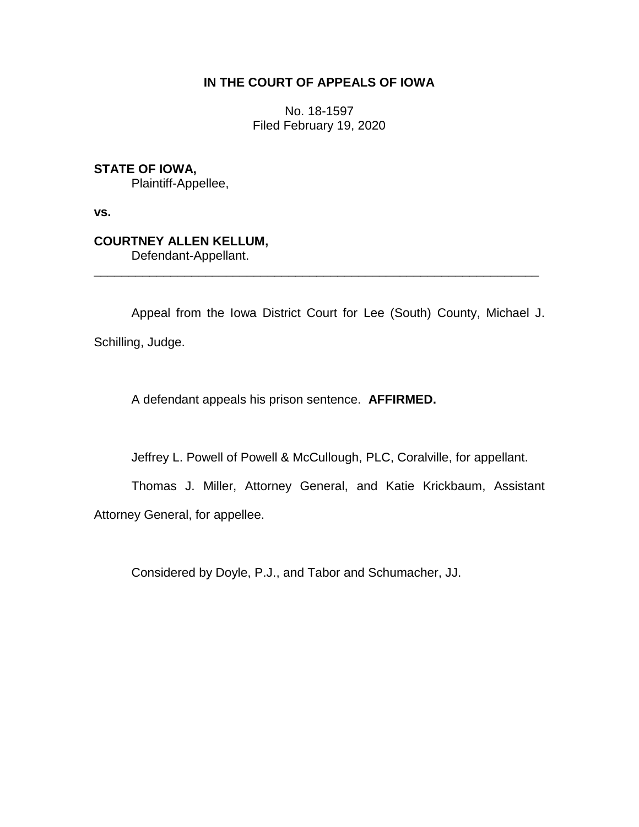## **IN THE COURT OF APPEALS OF IOWA**

No. 18-1597 Filed February 19, 2020

## **STATE OF IOWA,**

Plaintiff-Appellee,

**vs.**

# **COURTNEY ALLEN KELLUM,**

Defendant-Appellant.

Appeal from the Iowa District Court for Lee (South) County, Michael J. Schilling, Judge.

\_\_\_\_\_\_\_\_\_\_\_\_\_\_\_\_\_\_\_\_\_\_\_\_\_\_\_\_\_\_\_\_\_\_\_\_\_\_\_\_\_\_\_\_\_\_\_\_\_\_\_\_\_\_\_\_\_\_\_\_\_\_\_\_

A defendant appeals his prison sentence. **AFFIRMED.**

Jeffrey L. Powell of Powell & McCullough, PLC, Coralville, for appellant.

Thomas J. Miller, Attorney General, and Katie Krickbaum, Assistant Attorney General, for appellee.

Considered by Doyle, P.J., and Tabor and Schumacher, JJ.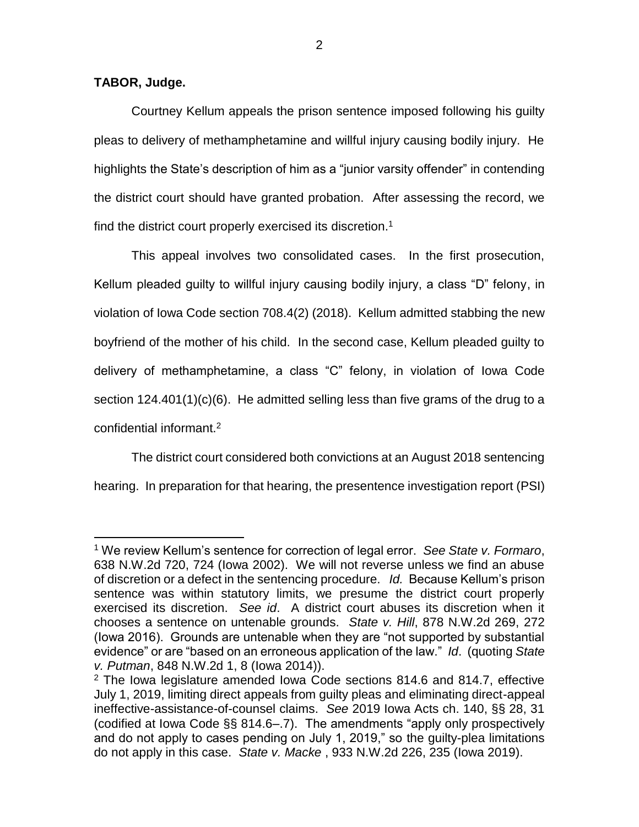#### **TABOR, Judge.**

 $\overline{a}$ 

Courtney Kellum appeals the prison sentence imposed following his guilty pleas to delivery of methamphetamine and willful injury causing bodily injury. He highlights the State's description of him as a "junior varsity offender" in contending the district court should have granted probation. After assessing the record, we find the district court properly exercised its discretion.<sup>1</sup>

This appeal involves two consolidated cases. In the first prosecution, Kellum pleaded guilty to willful injury causing bodily injury, a class "D" felony, in violation of Iowa Code section 708.4(2) (2018). Kellum admitted stabbing the new boyfriend of the mother of his child. In the second case, Kellum pleaded guilty to delivery of methamphetamine, a class "C" felony, in violation of Iowa Code section 124.401(1)(c)(6). He admitted selling less than five grams of the drug to a confidential informant.<sup>2</sup>

The district court considered both convictions at an August 2018 sentencing hearing. In preparation for that hearing, the presentence investigation report (PSI)

<sup>1</sup> We review Kellum's sentence for correction of legal error. *See State v. Formaro*, 638 N.W.2d 720, 724 (Iowa 2002). We will not reverse unless we find an abuse of discretion or a defect in the sentencing procedure. *Id.* Because Kellum's prison sentence was within statutory limits, we presume the district court properly exercised its discretion. *See id*. A district court abuses its discretion when it chooses a sentence on untenable grounds. *State v. Hill*, 878 N.W.2d 269, 272 (Iowa 2016). Grounds are untenable when they are "not supported by substantial evidence" or are "based on an erroneous application of the law." *Id*. (quoting *State v. Putman*, 848 N.W.2d 1, 8 (Iowa 2014)).

 $2$  The Iowa legislature amended Iowa Code sections 814.6 and 814.7, effective July 1, 2019, limiting direct appeals from guilty pleas and eliminating direct-appeal ineffective-assistance-of-counsel claims. *See* 2019 Iowa Acts ch. 140, §§ 28, 31 (codified at Iowa Code §§ 814.6–.7). The amendments "apply only prospectively and do not apply to cases pending on July 1, 2019," so the guilty-plea limitations do not apply in this case. *State v. Macke* , 933 N.W.2d 226, 235 (Iowa 2019).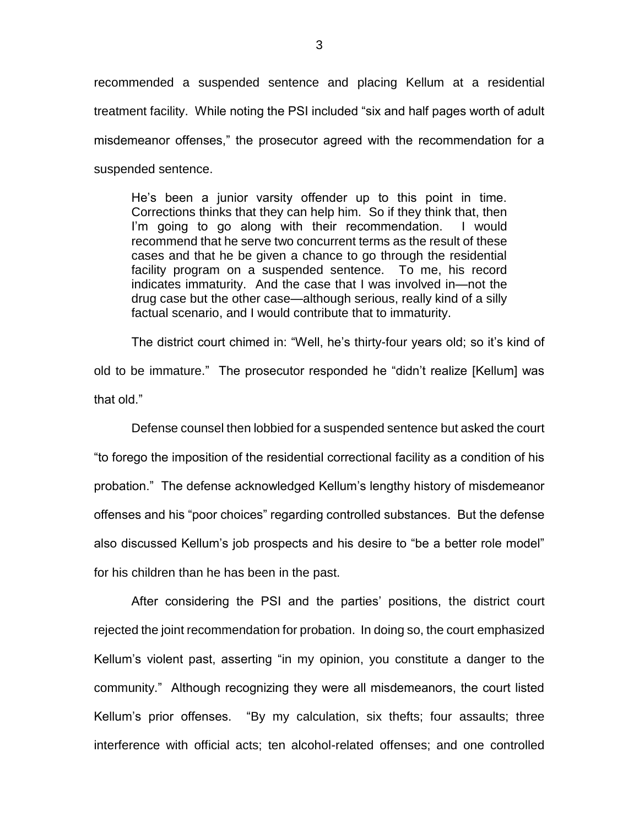recommended a suspended sentence and placing Kellum at a residential treatment facility. While noting the PSI included "six and half pages worth of adult misdemeanor offenses," the prosecutor agreed with the recommendation for a suspended sentence.

He's been a junior varsity offender up to this point in time. Corrections thinks that they can help him. So if they think that, then I'm going to go along with their recommendation. I would recommend that he serve two concurrent terms as the result of these cases and that he be given a chance to go through the residential facility program on a suspended sentence. To me, his record indicates immaturity. And the case that I was involved in—not the drug case but the other case—although serious, really kind of a silly factual scenario, and I would contribute that to immaturity.

The district court chimed in: "Well, he's thirty-four years old; so it's kind of old to be immature." The prosecutor responded he "didn't realize [Kellum] was that old."

Defense counsel then lobbied for a suspended sentence but asked the court "to forego the imposition of the residential correctional facility as a condition of his probation." The defense acknowledged Kellum's lengthy history of misdemeanor offenses and his "poor choices" regarding controlled substances. But the defense also discussed Kellum's job prospects and his desire to "be a better role model" for his children than he has been in the past.

After considering the PSI and the parties' positions, the district court rejected the joint recommendation for probation. In doing so, the court emphasized Kellum's violent past, asserting "in my opinion, you constitute a danger to the community." Although recognizing they were all misdemeanors, the court listed Kellum's prior offenses. "By my calculation, six thefts; four assaults; three interference with official acts; ten alcohol-related offenses; and one controlled